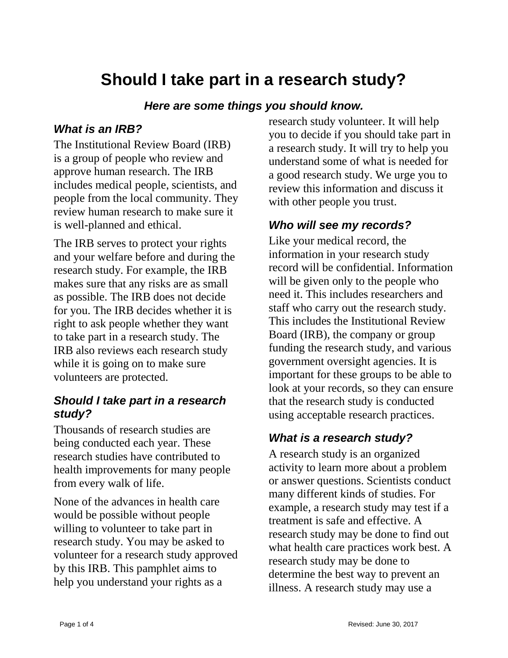# **Should I take part in a research study?**

#### *Here are some things you should know.*

#### *What is an IRB?*

The Institutional Review Board (IRB) is a group of people who review and approve human research. The IRB includes medical people, scientists, and people from the local community. They review human research to make sure it is well-planned and ethical.

The IRB serves to protect your rights and your welfare before and during the research study. For example, the IRB makes sure that any risks are as small as possible. The IRB does not decide for you. The IRB decides whether it is right to ask people whether they want to take part in a research study. The IRB also reviews each research study while it is going on to make sure volunteers are protected.

## *Should I take part in a research study?*

Thousands of research studies are being conducted each year. These research studies have contributed to health improvements for many people from every walk of life.

None of the advances in health care would be possible without people willing to volunteer to take part in research study. You may be asked to volunteer for a research study approved by this IRB. This pamphlet aims to help you understand your rights as a

research study volunteer. It will help you to decide if you should take part in a research study. It will try to help you understand some of what is needed for a good research study. We urge you to review this information and discuss it with other people you trust.

## *Who will see my records?*

Like your medical record, the information in your research study record will be confidential. Information will be given only to the people who need it. This includes researchers and staff who carry out the research study. This includes the Institutional Review Board (IRB), the company or group funding the research study, and various government oversight agencies. It is important for these groups to be able to look at your records, so they can ensure that the research study is conducted using acceptable research practices.

# *What is a research study?*

A research study is an organized activity to learn more about a problem or answer questions. Scientists conduct many different kinds of studies. For example, a research study may test if a treatment is safe and effective. A research study may be done to find out what health care practices work best. A research study may be done to determine the best way to prevent an illness. A research study may use a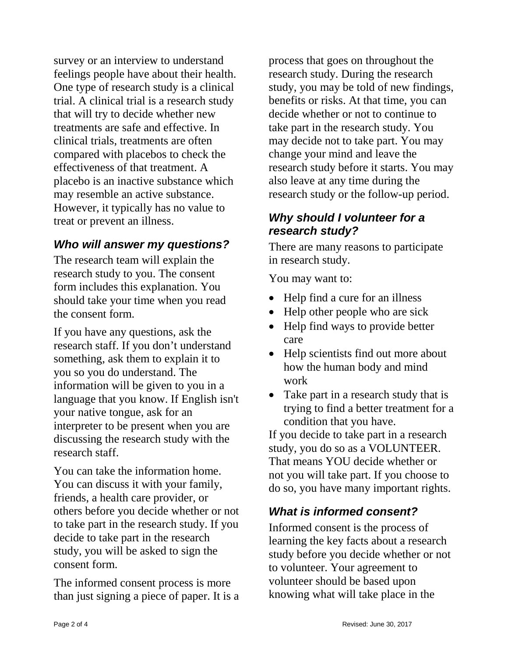survey or an interview to understand feelings people have about their health. One type of research study is a clinical trial. A clinical trial is a research study that will try to decide whether new treatments are safe and effective. In clinical trials, treatments are often compared with placebos to check the effectiveness of that treatment. A placebo is an inactive substance which may resemble an active substance. However, it typically has no value to treat or prevent an illness.

# *Who will answer my questions?*

The research team will explain the research study to you. The consent form includes this explanation. You should take your time when you read the consent form.

If you have any questions, ask the research staff. If you don't understand something, ask them to explain it to you so you do understand. The information will be given to you in a language that you know. If English isn't your native tongue, ask for an interpreter to be present when you are discussing the research study with the research staff.

You can take the information home. You can discuss it with your family, friends, a health care provider, or others before you decide whether or not to take part in the research study. If you decide to take part in the research study, you will be asked to sign the consent form.

The informed consent process is more than just signing a piece of paper. It is a

process that goes on throughout the research study. During the research study, you may be told of new findings, benefits or risks. At that time, you can decide whether or not to continue to take part in the research study. You may decide not to take part. You may change your mind and leave the research study before it starts. You may also leave at any time during the research study or the follow-up period.

## *Why should I volunteer for a research study?*

There are many reasons to participate in research study.

You may want to:

- Help find a cure for an illness
- Help other people who are sick
- Help find ways to provide better care
- Help scientists find out more about how the human body and mind work
- Take part in a research study that is trying to find a better treatment for a condition that you have.

If you decide to take part in a research study, you do so as a VOLUNTEER. That means YOU decide whether or not you will take part. If you choose to do so, you have many important rights.

# *What is informed consent?*

Informed consent is the process of learning the key facts about a research study before you decide whether or not to volunteer. Your agreement to volunteer should be based upon knowing what will take place in the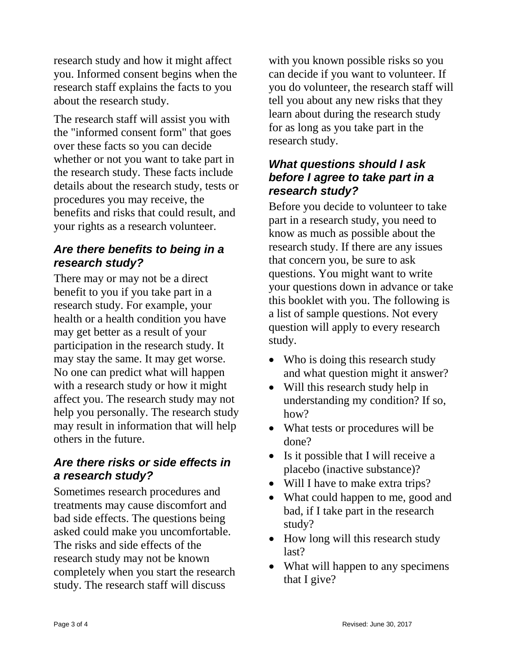research study and how it might affect you. Informed consent begins when the research staff explains the facts to you about the research study.

The research staff will assist you with the "informed consent form" that goes over these facts so you can decide whether or not you want to take part in the research study. These facts include details about the research study, tests or procedures you may receive, the benefits and risks that could result, and your rights as a research volunteer.

# *Are there benefits to being in a research study?*

There may or may not be a direct benefit to you if you take part in a research study. For example, your health or a health condition you have may get better as a result of your participation in the research study. It may stay the same. It may get worse. No one can predict what will happen with a research study or how it might affect you. The research study may not help you personally. The research study may result in information that will help others in the future.

## *Are there risks or side effects in a research study?*

Sometimes research procedures and treatments may cause discomfort and bad side effects. The questions being asked could make you uncomfortable. The risks and side effects of the research study may not be known completely when you start the research study. The research staff will discuss

with you known possible risks so you can decide if you want to volunteer. If you do volunteer, the research staff will tell you about any new risks that they learn about during the research study for as long as you take part in the research study.

## *What questions should I ask before I agree to take part in a research study?*

Before you decide to volunteer to take part in a research study, you need to know as much as possible about the research study. If there are any issues that concern you, be sure to ask questions. You might want to write your questions down in advance or take this booklet with you. The following is a list of sample questions. Not every question will apply to every research study.

- Who is doing this research study and what question might it answer?
- Will this research study help in understanding my condition? If so, how?
- What tests or procedures will be done?
- Is it possible that I will receive a placebo (inactive substance)?
- Will I have to make extra trips?
- What could happen to me, good and bad, if I take part in the research study?
- How long will this research study last?
- What will happen to any specimens that I give?